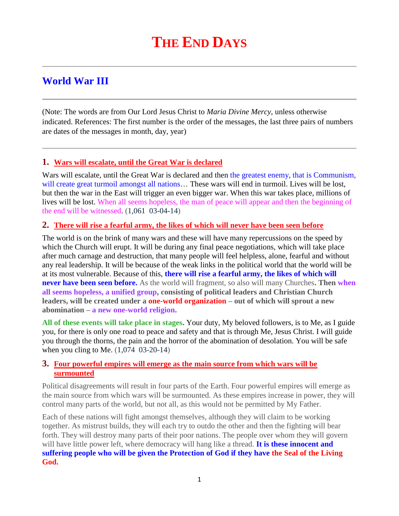# **World War III**

(Note: The words are from Our Lord Jesus Christ to *Maria Divine Mercy*, unless otherwise indicated. References: The first number is the order of the messages, the last three pairs of numbers are dates of the messages in month, day, year)

## **1. [Wars will escalate, until the Great War is declared](http://www.thewarningsecondcoming.com/wars-will-escalate-until-the-great-war-is-declared/)**

Wars will escalate, until the Great War is declared and then the greatest enemy, that is Communism, will create great turmoil amongst all nations... These wars will end in turmoil. Lives will be lost, but then the war in the East will trigger an even bigger war. When this war takes place, millions of lives will be lost. When all seems hopeless, the man of peace will appear and then the beginning of the end will be witnessed.  $(1,061,03-04-14)$ 

## **2. [There will rise a fearful army, the likes of which will never have been seen before](http://www.thewarningsecondcoming.com/there-will-rise-a-fearful-army-the-likes-of-which-will-never-have-been-seen-before/)**

The world is on the brink of many wars and these will have many repercussions on the speed by which the Church will erupt. It will be during any final peace negotiations, which will take place after much carnage and destruction, that many people will feel helpless, alone, fearful and without any real leadership. It will be because of the weak links in the political world that the world will be at its most vulnerable. Because of this, **there will rise a fearful army, the likes of which will never have been seen before.** As the world will fragment, so also will many Churches**. Then when all seems hopeless, a unified group, consisting of political leaders and Christian Church leaders, will be created under a one-world organization – out of which will sprout a new abomination – a new one-world religion.**

**All of these events will take place in stages.** Your duty, My beloved followers, is to Me, as I guide you, for there is only one road to peace and safety and that is through Me, Jesus Christ. I will guide you through the thorns, the pain and the horror of the abomination of desolation. You will be safe when you cling to Me. (1,074 03-20-14)

## **3. Four [powerful empires will emerge as the main source from which wars will be](http://www.thewarningsecondcoming.com/four-powerful-empires-will-emerge-as-the-main-source-from-which-wars-will-be-surmounted/)  [surmounted](http://www.thewarningsecondcoming.com/four-powerful-empires-will-emerge-as-the-main-source-from-which-wars-will-be-surmounted/)**

Political disagreements will result in four parts of the Earth. Four powerful empires will emerge as the main source from which wars will be surmounted. As these empires increase in power, they will control many parts of the world, but not all, as this would not be permitted by My Father.

Each of these nations will fight amongst themselves, although they will claim to be working together. As mistrust builds, they will each try to outdo the other and then the fighting will bear forth. They will destroy many parts of their poor nations. The people over whom they will govern will have little power left, where democracy will hang like a thread. **It is these innocent and suffering people who will be given the Protection of God if they have the Seal of the Living God.**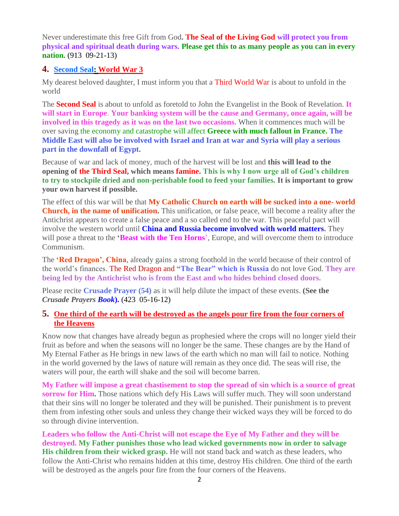Never underestimate this free Gift from God**. The Seal of the Living God will protect you from physical and spiritual death during wars. Please get this to as many people as you can in every nation.** (913 09-21-13)

## **4. [Second Seal: World War 3](http://www.thewarningsecondcoming.com/second-seal-world-war-3/)**

My dearest beloved daughter, I must inform you that a Third World War is about to unfold in the world

The **Second Seal** is about to unfold as foretold to John the Evangelist in the Book of Revelation. **It will start in Europe**. **Your banking system will be the cause and Germany, once again, will be involved in this tragedy as it was on the last two occasions.** When it commences much will be over saving the economy and catastrophe will affect **Greece with much fallout in France. The Middle East will also be involved with Israel and Iran at war and Syria will play a serious part in the downfall of Egypt.**

Because of war and lack of money, much of the harvest will be lost and **this will lead to the opening of the Third Seal, which means famine. This is why I now urge all of God's children to try to stockpile dried and non-perishable food to feed your families. It is important to grow your own harvest if possible.**

The effect of this war will be that **My Catholic Church on earth will be sucked into a one- world Church, in the name of unification.** This unification, or false peace, will become a reality after the Antichrist appears to create a false peace and a so called end to the war. This peaceful pact will involve the western world until **China and Russia become involved with world matters.** They will pose a threat to the **'Beast with the Ten Horns'**, Europe, and will overcome them to introduce Communism.

The **'Red Dragon', China**, already gains a strong foothold in the world because of their control of the world's finances. The Red Dragon and **"The Bear" which is Russia** do not love God. **They are being led by the Antichrist who is from the East and who hides behind closed doors.**

Please recite **Crusade Prayer (54)** as it will help dilute the impact of these events. **(See the**  *Crusade Prayers Book***).** (423 05-16-12)

#### **5. [One third of the earth will be destroyed as the angels pour fire from the four corners of](http://www.thewarningsecondcoming.com/one-third-of-the-earth-will-be-destroyed-as-the-angels-pour-fire-from-the-four-corners-of-the-heavens/)  [the Heavens](http://www.thewarningsecondcoming.com/one-third-of-the-earth-will-be-destroyed-as-the-angels-pour-fire-from-the-four-corners-of-the-heavens/)**

Know now that changes have already begun as prophesied where the crops will no longer yield their fruit as before and when the seasons will no longer be the same. These changes are by the Hand of My Eternal Father as He brings in new laws of the earth which no man will fail to notice. Nothing in the world governed by the laws of nature will remain as they once did. The seas will rise, the waters will pour, the earth will shake and the soil will become barren.

**My Father will impose a great chastisement to stop the spread of sin which is a source of great sorrow for Him.** Those nations which defy His Laws will suffer much. They will soon understand that their sins will no longer be tolerated and they will be punished. Their punishment is to prevent them from infesting other souls and unless they change their wicked ways they will be forced to do so through divine intervention.

**Leaders who follow the Anti-Christ will not escape the Eye of My Father and they will be destroyed. My Father punishes those who lead wicked governments now in order to salvage His children from their wicked grasp.** He will not stand back and watch as these leaders, who follow the Anti-Christ who remains hidden at this time, destroy His children. One third of the earth will be destroyed as the angels pour fire from the four corners of the Heavens.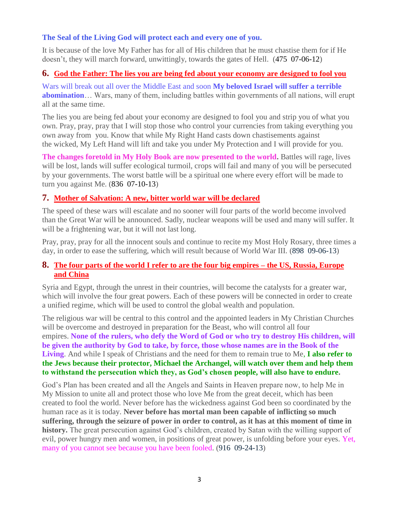#### **The Seal of the Living God will protect each and every one of you.**

It is because of the love My Father has for all of His children that he must chastise them for if He doesn't, they will march forward, unwittingly, towards the gates of Hell. (475 07-06-12)

#### **6. [God the Father: The lies you are being fed about your economy are designed to fool you](http://www.thewarningsecondcoming.com/god-the-father-the-lies-you-are-being-fed-about-your-economy-are-designed-to-fool-you/)**

Wars will break out all over the Middle East and soon **My beloved Israel will suffer a terrible abomination**… Wars, many of them, including battles within governments of all nations, will erupt all at the same time.

The lies you are being fed about your economy are designed to fool you and strip you of what you own. Pray, pray, pray that I will stop those who control your currencies from taking everything you own away from you. Know that while My Right Hand casts down chastisements against the wicked, My Left Hand will lift and take you under My Protection and I will provide for you.

**The changes foretold in My Holy Book are now presented to the world.** Battles will rage, lives will be lost, lands will suffer ecological turmoil, crops will fail and many of you will be persecuted by your governments. The worst battle will be a spiritual one where every effort will be made to turn you against Me. (836 07-10-13)

#### **7. [Mother of Salvation: A new, bitter world war will be declared](http://www.thewarningsecondcoming.com/mother-of-salvation-a-new-bitter-world-war-will-be-declared/)**

The speed of these wars will escalate and no sooner will four parts of the world become involved than the Great War will be announced. Sadly, nuclear weapons will be used and many will suffer. It will be a frightening war, but it will not last long.

Pray, pray, pray for all the innocent souls and continue to recite my Most Holy Rosary, three times a day, in order to ease the suffering, which will result because of World War III. (898 09-06-13)

## **8. [The four parts of the world I refer to are the four big empires –](http://www.thewarningsecondcoming.com/the-four-parts-of-the-world-i-refer-to-are-the-four-biggest-empires-the-us-russia-europe-and-china/) the US, Russia, Europe [and China](http://www.thewarningsecondcoming.com/the-four-parts-of-the-world-i-refer-to-are-the-four-biggest-empires-the-us-russia-europe-and-china/)**

Syria and Egypt, through the unrest in their countries, will become the catalysts for a greater war, which will involve the four great powers. Each of these powers will be connected in order to create a unified regime, which will be used to control the global wealth and population.

The religious war will be central to this control and the appointed leaders in My Christian Churches will be overcome and destroyed in preparation for the Beast, who will control all four empires. **None of the rulers, who defy the Word of God or who try to destroy His children, will be given the authority by God to take, by force, those whose names are in the Book of the Living**. And while I speak of Christians and the need for them to remain true to Me, **I also refer to the Jews because their protector, Michael the Archangel, will watch over them and help them to withstand the persecution which they, as God's chosen people, will also have to endure.**

God's Plan has been created and all the Angels and Saints in Heaven prepare now, to help Me in My Mission to unite all and protect those who love Me from the great deceit, which has been created to fool the world. Never before has the wickedness against God been so coordinated by the human race as it is today. **Never before has mortal man been capable of inflicting so much suffering, through the seizure of power in order to control, as it has at this moment of time in history.** The great persecution against God's children, created by Satan with the willing support of evil, power hungry men and women, in positions of great power, is unfolding before your eyes. Yet, many of you cannot see because you have been fooled. (916 09-24-13)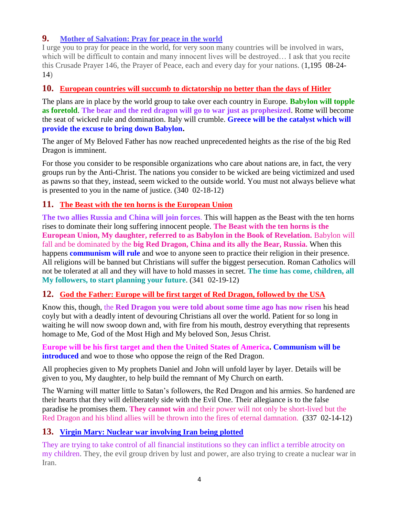# **9. [Mother of Salvation: Pray for peace in the world](http://www.thewarningsecondcoming.com/mother-of-salvation-pray-for-peace-in-the-world/)**

I urge you to pray for peace in the world, for very soon many countries will be involved in wars, which will be difficult to contain and many innocent lives will be destroyed… I ask that you recite this Crusade Prayer 146, the Prayer of Peace, each and every day for your nations. (1,195 08-24- 14)

# **10. [European countries will succumb to dictatorship no better than the days of Hitler](http://www.thewarningsecondcoming.com/european-countries-will-succumb-to-dictatorship-no-better-than-the-days-of-hitler/)**

The plans are in place by the world group to take over each country in Europe. **Babylon will topple as foretold**. **The bear and the red dragon will go to war just as prophesized**. Rome will become the seat of wicked rule and domination. Italy will crumble. **Greece will be the catalyst which will provide the excuse to bring down Babylon.**

The anger of My Beloved Father has now reached unprecedented heights as the rise of the big Red Dragon is imminent.

For those you consider to be responsible organizations who care about nations are, in fact, the very groups run by the Anti-Christ. The nations you consider to be wicked are being victimized and used as pawns so that they, instead, seem wicked to the outside world. You must not always believe what is presented to you in the name of justice. (340 02-18-12)

# **11. [The Beast with the ten horns is the European Union](http://www.thewarningsecondcoming.com/the-beast-with-the-ten-horns-is-the-european-union/)**

**The two allies Russia and China will join forces**. This will happen as the Beast with the ten horns rises to dominate their long suffering innocent people. **The Beast with the ten horns is the European Union, My daughter, referred to as Babylon in the Book of Revelation.** Babylon will fall and be dominated by the **big Red Dragon, China and its ally the Bear, Russia.** When this happens **communism will rule** and woe to anyone seen to practice their religion in their presence. All religions will be banned but Christians will suffer the biggest persecution. Roman Catholics will not be tolerated at all and they will have to hold masses in secret. **The time has come, children, all My followers, to start planning your future**. (341 02-19-12)

# **12. [God the Father: Europe will be first target of Red Dragon, followed by the USA](http://www.thewarningsecondcoming.com/god-the-father-europe-will-be-first-target-of-red-dragon-followed-by-the-usa/)**

Know this, though, the **Red Dragon you were told about some time ago has now risen** his head coyly but with a deadly intent of devouring Christians all over the world. Patient for so long in waiting he will now swoop down and, with fire from his mouth, destroy everything that represents homage to Me, God of the Most High and My beloved Son, Jesus Christ.

**Europe will be his first target and then the United States of America. Communism will be introduced** and woe to those who oppose the reign of the Red Dragon.

All prophecies given to My prophets Daniel and John will unfold layer by layer. Details will be given to you, My daughter, to help build the remnant of My Church on earth.

The Warning will matter little to Satan's followers, the Red Dragon and his armies. So hardened are their hearts that they will deliberately side with the Evil One. Their allegiance is to the false paradise he promises them. **They cannot win** and their power will not only be short-lived but the Red Dragon and his blind allies will be thrown into the fires of eternal damnation. (337 02-14-12)

# **13. [Virgin Mary: Nuclear war involving Iran being plotted](http://www.thewarningsecondcoming.com/virgin-mary-nuclear-war-involving-iran-being-plotted/)**

They are trying to take control of all financial institutions so they can inflict a terrible atrocity on my children. They, the evil group driven by lust and power, are also trying to create a nuclear war in Iran.